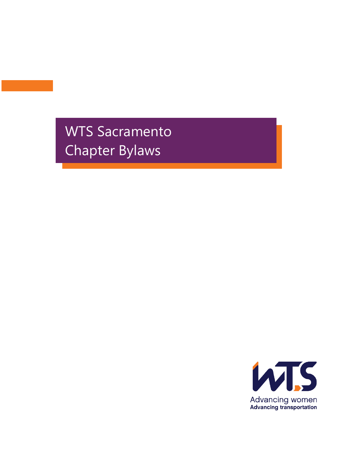WTS Sacramento Chapter Bylaws

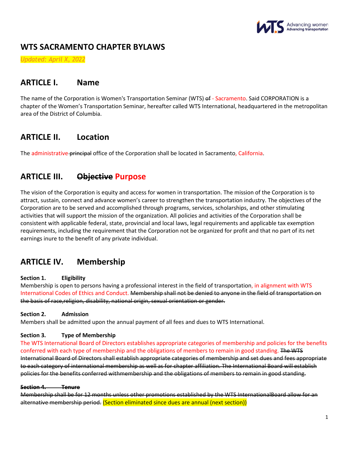

# **WTS SACRAMENTO CHAPTER BYLAWS**

*Updated: April X, 2022*

# **ARTICLE I. Name**

The name of the Corporation is Women's Transportation Seminar (WTS) of - Sacramento. Said CORPORATION is a chapter of the Women's Transportation Seminar, hereafter called WTS International, headquartered in the metropolitan area of the District of Columbia.

# **ARTICLE II. Location**

The administrative principal office of the Corporation shall be located in Sacramento, California.

# **ARTICLE III. Objective Purpose**

The vision of the Corporation is equity and access for women in transportation. The mission of the Corporation is to attract, sustain, connect and advance women's career to strengthen the transportation industry. The objectives of the Corporation are to be served and accomplished through programs, services, scholarships, and other stimulating activities that will support the mission of the organization. All policies and activities of the Corporation shall be consistent with applicable federal, state, provincial and local laws, legal requirements and applicable tax exemption requirements, including the requirement that the Corporation not be organized for profit and that no part of its net earnings inure to the benefit of any private individual.

# **ARTICLE IV. Membership**

## **Section 1. Eligibility**

Membership is open to persons having a professional interest in the field of transportation, in alignment with WTS International Codes of Ethics and Conduct. Membership shall not be denied to anyone in the field of transportation on the basis of race,religion, disability, national origin, sexual orientation or gender.

## **Section 2. Admission**

Members shall be admitted upon the annual payment of all fees and dues to WTS International.

## **Section 3. Type of Membership**

The WTS International Board of Directors establishes appropriate categories of membership and policies for the benefits conferred with each type of membership and the obligations of members to remain in good standing. The WTS International Board of Directors shall establish appropriate categories of membership and set dues and fees appropriate to each category of international membership as well as for chapter affiliation. The International Board will establish policies for the benefits conferred withmembership and the obligations of members to remain in good standing.

## **Section 4. Tenure**

Membership shall be for 12 months unless other promotions established by the WTS InternationalBoard allow for an alternative membership period. (Section eliminated since dues are annual (next section))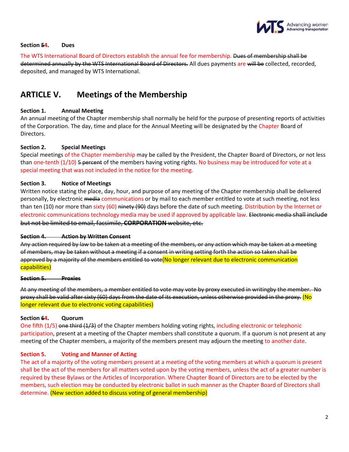

#### **Section 54. Dues**

The WTS International Board of Directors establish the annual fee for membership. Dues of membership shall be determined annually by the WTS International Board of Directors. All dues payments are will be collected, recorded, deposited, and managed by WTS International.

# **ARTICLE V. Meetings of the Membership**

## **Section 1. Annual Meeting**

An annual meeting of the Chapter membership shall normally be held for the purpose of presenting reports of activities of the Corporation. The day, time and place for the Annual Meeting will be designated by the Chapter Board of Directors.

## **Section 2. Special Meetings**

Special meetings of the Chapter membership may be called by the President, the Chapter Board of Directors, or not less than one-tenth  $(1/10)$  5 percent of the members having voting rights. No business may be introduced for vote at a special meeting that was not included in the notice for the meeting.

## **Section 3. Notice of Meetings**

Written notice stating the place, day, hour, and purpose of any meeting of the Chapter membership shall be delivered personally, by electronic media communications or by mail to each member entitled to vote at such meeting, not less than ten (10) nor more than sixty (60) ninety (90) days before the date of such meeting. Distribution by the Internet or electronic communications technology media may be used if approved by applicable law. Electronic media shall include but not be limited to email, facsimile, **CORPORATION** website, etc.

#### **Section 4. Action by Written Consent**

Any action required by law to be taken at a meeting of the members, or any action which may be taken at a meeting of members, may be taken without a meeting if a consent in writing setting forth the action so taken shall be approved by a majority of the members entitled to vote(No longer relevant due to electronic communication capabilities)

#### **Section 5. Proxies**

At any meeting of the members, a member entitled to vote may vote by proxy executed in writingby the member. No proxy shall be valid after sixty (60) days from the date of its execution, unless otherwise provided in the proxy. (No longer relevant due to electronic voting capabilities)

## **Section 64. Quorum**

One fifth (1/5) one third (1/3) of the Chapter members holding voting rights, including electronic or telephonic participation, present at a meeting of the Chapter members shall constitute a quorum. If a quorum is not present at any meeting of the Chapter members, a majority of the members present may adjourn the meeting to another date.

## **Section 5. Voting and Manner of Acting**

The act of a majority of the voting members present at a meeting of the voting members at which a quorum is present shall be the act of the members for all matters voted upon by the voting members, unless the act of a greater number is required by these Bylaws or the Articles of Incorporation. Where Chapter Board of Directors are to be elected by the members, such election may be conducted by electronic ballot in such manner as the Chapter Board of Directors shall determine. (New section added to discuss voting of general membership)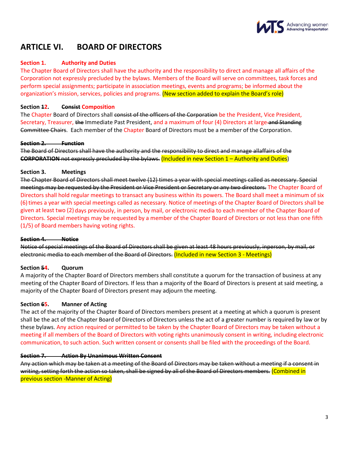

# **ARTICLE VI. BOARD OF DIRECTORS**

## **Section 1. Authority and Duties**

The Chapter Board of Directors shall have the authority and the responsibility to direct and manage all affairs of the Corporation not expressly precluded by the bylaws. Members of the Board will serve on committees, task forces and perform special assignments; participate in association meetings, events and programs; be informed about the organization's mission, services, policies and programs. (New section added to explain the Board's role)

## **Section 12. Consist Composition**

The Chapter Board of Directors shall consist of the officers of the Corporation be the President, Vice President, Secretary, Treasurer, the Immediate Past President, and a maximum of four (4) Directors at large and Standing Committee Chairs. Each member of the Chapter Board of Directors must be a member of the Corporation.

#### **Section 2. Function**

The Board of Directors shall have the authority and the responsibility to direct and manage allaffairs of the **CORPORATION** not expressly precluded by the bylaws. (Included in new Section 1 – Authority and Duties)

## **Section 3. Meetings**

The Chapter Board of Directors shall meet twelve (12) times a year with special meetings called as necessary. Special meetings may be requested by the President or Vice President or Secretary or any two directors. The Chapter Board of Directors shall hold regular meetings to transact any business within its powers. The Board shall meet a minimum of six (6)times a year with special meetings called as necessary. Notice of meetings of the Chapter Board of Directors shall be given at least two (2) days previously, in person, by mail, or electronic media to each member of the Chapter Board of Directors. Special meetings may be requested by a member of the Chapter Board of Directors or not less than one fifth (1/5) of Board members having voting rights.

## **Section 4. Notice**

Notice of special meetings of the Board of Directors shall be given at least 48 hours previously, inperson, by mail, or electronic media to each member of the Board of Directors. (Included in new Section 3 - Meetings)

## **Section 54. Quorum**

A majority of the Chapter Board of Directors members shall constitute a quorum for the transaction of business at any meeting of the Chapter Board of Directors. If less than a majority of the Board of Directors is present at said meeting, a majority of the Chapter Board of Directors present may adjourn the meeting.

## **Section 65. Manner of Acting**

The act of the majority of the Chapter Board of Directors members present at a meeting at which a quorum is present shall be the act of the Chapter Board of Directors of Directors unless the act of a greater number is required by law or by these bylaws. Any action required or permitted to be taken by the Chapter Board of Directors may be taken without a meeting if all members of the Board of Directors with voting rights unanimously consent in writing, including electronic communication, to such action. Such written consent or consents shall be filed with the proceedings of the Board.

## **Section 7. Action By Unanimous Written Consent**

Any action which may be taken at a meeting of the Board of Directors may be taken without a meeting if a consent in writing, setting forth the action so taken, shall be signed by all of the Board of Directors members. (Combined in previous section -Manner of Acting)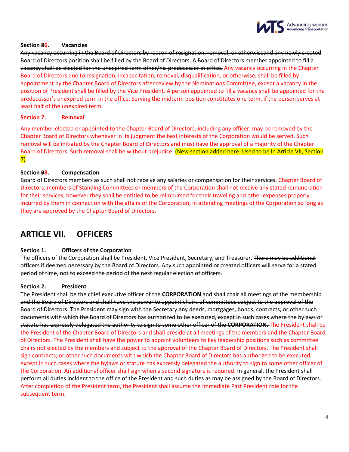

## **Section 86. Vacancies**

Any vacancy occurring in the Board of Directors by reason of resignation, removal, or otherwiseand any newly created Board of Directors position shall be filled by the Board of Directors. A Board of Directors member appointed to fill a vacancy shall be elected for the unexpired term ofher/his predecessor in office. Any vacancy occurring in the Chapter Board of Directors due to resignation, incapacitation, removal, disqualification, or otherwise, shall be filled by appointment by the Chapter Board of Directors after review by the Nominations Committee, except a vacancy in the position of President shall be filled by the Vice President. A person appointed to fill a vacancy shall be appointed for the predecessor's unexpired term in the office. Serving the midterm position constitutes one term, if the person serves at least half of the unexpired term.

## **Section 7. Removal**

Any member elected or appointed to the Chapter Board of Directors, including any officer, may be removed by the Chapter Board of Directors whenever in its judgment the best interests of the Corporation would be served. Such removal will be initiated by the Chapter Board of Directors and must have the approval of a majority of the Chapter Board of Directors. Such removal shall be without prejudice. (New section added here. Used to be in Article VII, Section 7)

## **Section 98. Compensation**

Board of Directors members as such shall not receive any salaries or compensation for their services. Chapter Board of Directors, members of Standing Committees or members of the Corporation shall not receive any stated remuneration for their services, however they shall be entitled to be reimbursed for their traveling and other expenses properly incurred by them in connection with the affairs of the Corporation, in attending meetings of the Corporation so long as they are approved by the Chapter Board of Directors.

# **ARTICLE VII. OFFICERS**

## **Section 1. Officers of the Corporation**

The officers of the Corporation shall be President, Vice President, Secretary, and Treasurer. There may be additional officers if deemed necessary by the Board of Directors. Any such appointed or created officers will serve for a stated period of time, not to exceed the period of the next regular election of officers.

## **Section 2. President**

The President shall be the chief executive officer of the **CORPORATION** and shall chair all meetings of the membership and the Board of Directors and shall have the power to appoint chairs of committees subject to the approval of the Board of Directors. The President may sign with the Secretary any deeds, mortgages, bonds, contracts, or other such documents with which the Board of Directors has authorized to be executed, except in such cases where the bylaws or statute has expressly delegated the authority to sign to some other officer of the **CORPORATION**. The President shall be the President of the Chapter Board of Directors and shall preside at all meetings of the members and the Chapter Board of Directors. The President shall have the power to appoint volunteers to key leadership positions such as committee chairs not elected by the members and subject to the approval of the Chapter Board of Directors. The President shall sign contracts, or other such documents with which the Chapter Board of Directors has authorized to be executed, except in such cases where the bylaws or statute has expressly delegated the authority to sign to some other officer of the Corporation. An additional officer shall sign when a second signature is required. In general, the President shall perform all duties incident to the office of the President and such duties as may be assigned by the Board of Directors. After completion of the President term, the President shall assume the Immediate Past President role for the subsequent term.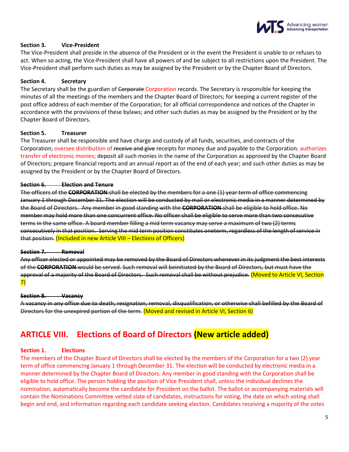

## **Section 3. Vice-President**

The Vice-President shall preside in the absence of the President or in the event the President is unable to or refuses to act. When so acting, the Vice-President shall have all powers of and be subject to all restrictions upon the President. The Vice-President shall perform such duties as may be assigned by the President or by the Chapter Board of Directors.

## **Section 4. Secretary**

The Secretary shall be the guardian of Corporate Corporation records. The Secretary is responsible for keeping the minutes of all the meetings of the members and the Chapter Board of Directors; for keeping a current register of the post office address of each member of the Corporation; for all official correspondence and notices of the Chapter in accordance with the provisions of these bylaws; and other such duties as may be assigned by the President or by the Chapter Board of Directors.

## **Section 5. Treasurer**

The Treasurer shall be responsible and have charge and custody of all funds, securities, and contracts of the Corporation; oversee distribution of receive and give receipts for money due and payable to the Corporation; authorizes transfer of electronic monies; deposit all such monies in the name of the Corporation as approved by the Chapter Board of Directors; prepare financial reports and an annual report as of the end of each year; and such other duties as may be assigned by the President or by the Chapter Board of Directors.

## **Section 6. Election and Tenure**

The officers of the **CORPORATION** shall be elected by the members for a one (1) year term of office commencing January 1 through December 31. The election will be conducted by mail or electronic media in a manner determined by the Board of Directors. Any member in good standing with the **CORPORATION** shall be eligible to hold office. No member may hold more than one concurrent office. No officer shall be eligible to serve more than two consecutive terms in the same office. A board member filling a mid term vacancy may serve a maximum of two (2) terms consecutively in that position. Serving the mid term position constitutes oneterm, regardless of the length of service in that position. (Included in new Article VIII – Elections of Officers)

#### **Section 7. Removal**

Any officer elected or appointed may be removed by the Board of Directors whenever in its judgment the best interests of the **CORPORATION** would be served. Such removal will beinitiated by the Board of Directors, but must have the approval of a majority of the Board of Directors. Such removal shall be without prejudice. (Moved to Article VI, Section 7)

## **Section 8. Vacancy**

A vacancy in any office due to death, resignation, removal, disqualification, or otherwise shall befilled by the Board of Directors for the unexpired portion of the term. (Moved and revised in Article VI, Section 6)

# **ARTICLE VIII. Elections of Board of Directors (New article added)**

## **Section 1. Elections**

The members of the Chapter Board of Directors shall be elected by the members of the Corporation for a two (2) year term of office commencing January 1 through December 31. The election will be conducted by electronic media in a manner determined by the Chapter Board of Directors. Any member in good standing with the Corporation shall be eligible to hold office. The person holding the position of Vice President shall, unless the individual declines the nomination, automatically become the candidate for President on the ballot. The ballot or accompanying materials will contain the Nominations Committee vetted slate of candidates, instructions for voting, the date on which voting shall begin and end, and information regarding each candidate seeking election. Candidates receiving a majority of the votes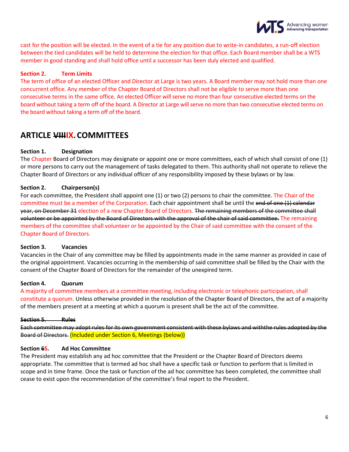

cast for the position will be elected. In the event of a tie for any position due to write-in candidates, a run-off election between the tied candidates will be held to determine the election for that office. Each Board member shall be a WTS member in good standing and shall hold office until a successor has been duly elected and qualified.

## **Section 2. Term Limits**

The term of office of an elected Officer and Director at Large is two years. A Board member may not hold more than one concurrent office. Any member of the Chapter Board of Directors shall not be eligible to serve more than one consecutive terms in the same office. An elected Officer will serve no more than four consecutive elected terms on the board without taking a term off of the board. A Director at Large will serve no more than two consecutive elected terms on the board without taking a term off of the board.

# **ARTICLE VIIIIX.COMMITTEES**

## **Section 1. Designation**

The Chapter Board of Directors may designate or appoint one or more committees, each of which shall consist of one (1) or more persons to carry out the management of tasks delegated to them. This authority shall not operate to relieve the Chapter Board of Directors or any individual officer of any responsibility imposed by these bylaws or by law.

## **Section 2. Chairperson(s)**

For each committee, the President shall appoint one (1) or two (2) persons to chair the committee. The Chair of the committee must be a member of the Corporation. Each chair appointment shall be until the end of one (1) calendar year, on December 31 election of a new Chapter Board of Directors. The remaining members of the committee shall volunteer or be appointed by the Board of Directors with the approval of the chair of said committee. The remaining members of the committee shall volunteer or be appointed by the Chair of said committee with the consent of the Chapter Board of Directors.

## **Section 3. Vacancies**

Vacancies in the Chair of any committee may be filled by appointments made in the same manner as provided in case of the original appointment. Vacancies occurring in the membership of said committee shall be filled by the Chair with the consent of the Chapter Board of Directors for the remainder of the unexpired term.

## **Section 4. Quorum**

A majority of committee members at a committee meeting, including electronic or telephonic participation, shall constitute a quorum. Unless otherwise provided in the resolution of the Chapter Board of Directors, the act of a majority of the members present at a meeting at which a quorum is present shall be the act of the committee.

## **Section 5. Rules**

Each committee may adopt rules for its own government consistent with these bylaws and withthe rules adopted by the Board of Directors. (Included under Section 6, Meetings (below))

## **Section 65. Ad Hoc Committee**

The President may establish any ad hoc committee that the President or the Chapter Board of Directors deems appropriate. The committee that is termed ad hoc shall have a specific task or function to perform that is limited in scope and in time frame. Once the task or function of the ad hoc committee has been completed, the committee shall cease to exist upon the recommendation of the committee's final report to the President.